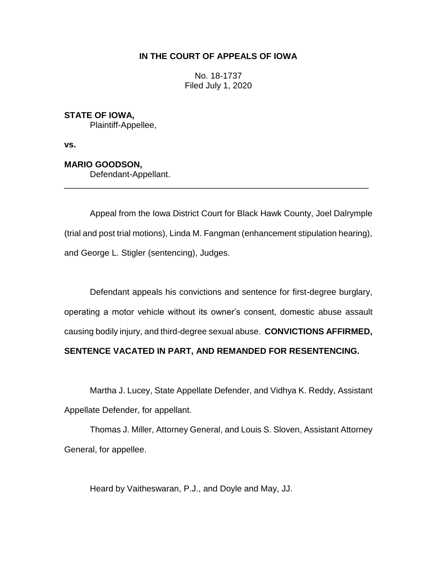## **IN THE COURT OF APPEALS OF IOWA**

No. 18-1737 Filed July 1, 2020

**STATE OF IOWA,** Plaintiff-Appellee,

**vs.**

**MARIO GOODSON,**

Defendant-Appellant.

Appeal from the Iowa District Court for Black Hawk County, Joel Dalrymple (trial and post trial motions), Linda M. Fangman (enhancement stipulation hearing), and George L. Stigler (sentencing), Judges.

\_\_\_\_\_\_\_\_\_\_\_\_\_\_\_\_\_\_\_\_\_\_\_\_\_\_\_\_\_\_\_\_\_\_\_\_\_\_\_\_\_\_\_\_\_\_\_\_\_\_\_\_\_\_\_\_\_\_\_\_\_\_\_\_

Defendant appeals his convictions and sentence for first-degree burglary, operating a motor vehicle without its owner's consent, domestic abuse assault causing bodily injury, and third-degree sexual abuse. **CONVICTIONS AFFIRMED,** 

**SENTENCE VACATED IN PART, AND REMANDED FOR RESENTENCING.**

Martha J. Lucey, State Appellate Defender, and Vidhya K. Reddy, Assistant Appellate Defender, for appellant.

Thomas J. Miller, Attorney General, and Louis S. Sloven, Assistant Attorney General, for appellee.

Heard by Vaitheswaran, P.J., and Doyle and May, JJ.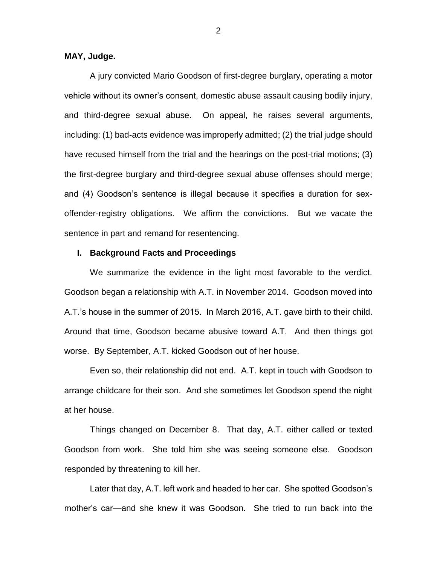## **MAY, Judge.**

A jury convicted Mario Goodson of first-degree burglary, operating a motor vehicle without its owner's consent, domestic abuse assault causing bodily injury, and third-degree sexual abuse. On appeal, he raises several arguments, including: (1) bad-acts evidence was improperly admitted; (2) the trial judge should have recused himself from the trial and the hearings on the post-trial motions; (3) the first-degree burglary and third-degree sexual abuse offenses should merge; and (4) Goodson's sentence is illegal because it specifies a duration for sexoffender-registry obligations. We affirm the convictions. But we vacate the sentence in part and remand for resentencing.

#### **I. Background Facts and Proceedings**

We summarize the evidence in the light most favorable to the verdict. Goodson began a relationship with A.T. in November 2014. Goodson moved into A.T.'s house in the summer of 2015. In March 2016, A.T. gave birth to their child. Around that time, Goodson became abusive toward A.T. And then things got worse. By September, A.T. kicked Goodson out of her house.

Even so, their relationship did not end. A.T. kept in touch with Goodson to arrange childcare for their son. And she sometimes let Goodson spend the night at her house.

Things changed on December 8. That day, A.T. either called or texted Goodson from work. She told him she was seeing someone else. Goodson responded by threatening to kill her.

Later that day, A.T. left work and headed to her car. She spotted Goodson's mother's car—and she knew it was Goodson. She tried to run back into the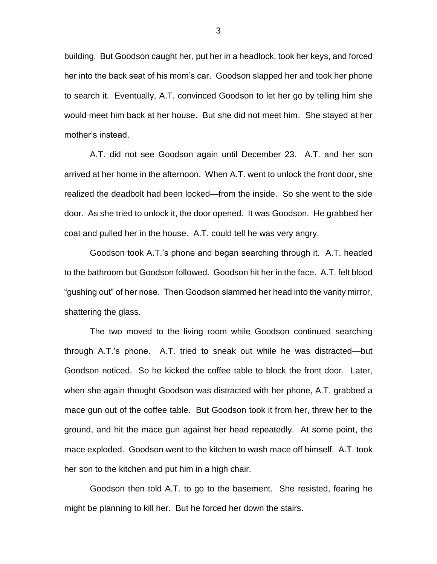building. But Goodson caught her, put her in a headlock, took her keys, and forced her into the back seat of his mom's car. Goodson slapped her and took her phone to search it. Eventually, A.T. convinced Goodson to let her go by telling him she would meet him back at her house. But she did not meet him. She stayed at her mother's instead.

A.T. did not see Goodson again until December 23. A.T. and her son arrived at her home in the afternoon. When A.T. went to unlock the front door, she realized the deadbolt had been locked—from the inside. So she went to the side door. As she tried to unlock it, the door opened. It was Goodson. He grabbed her coat and pulled her in the house. A.T. could tell he was very angry.

Goodson took A.T.'s phone and began searching through it. A.T. headed to the bathroom but Goodson followed. Goodson hit her in the face. A.T. felt blood "gushing out" of her nose. Then Goodson slammed her head into the vanity mirror, shattering the glass.

The two moved to the living room while Goodson continued searching through A.T.'s phone. A.T. tried to sneak out while he was distracted—but Goodson noticed. So he kicked the coffee table to block the front door. Later, when she again thought Goodson was distracted with her phone, A.T. grabbed a mace gun out of the coffee table. But Goodson took it from her, threw her to the ground, and hit the mace gun against her head repeatedly. At some point, the mace exploded. Goodson went to the kitchen to wash mace off himself. A.T. took her son to the kitchen and put him in a high chair.

Goodson then told A.T. to go to the basement. She resisted, fearing he might be planning to kill her. But he forced her down the stairs.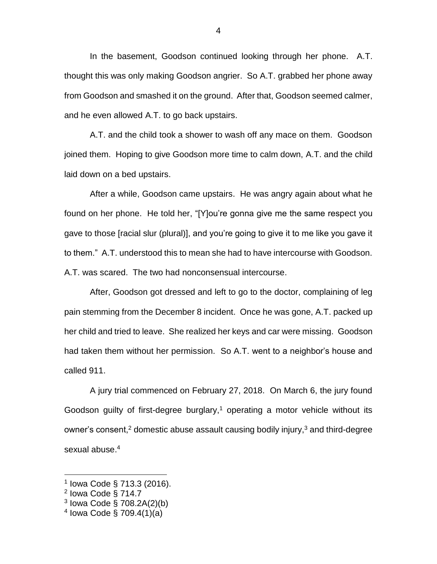In the basement, Goodson continued looking through her phone. A.T. thought this was only making Goodson angrier. So A.T. grabbed her phone away from Goodson and smashed it on the ground. After that, Goodson seemed calmer, and he even allowed A.T. to go back upstairs.

A.T. and the child took a shower to wash off any mace on them. Goodson joined them. Hoping to give Goodson more time to calm down, A.T. and the child laid down on a bed upstairs.

After a while, Goodson came upstairs. He was angry again about what he found on her phone. He told her, "[Y]ou're gonna give me the same respect you gave to those [racial slur (plural)], and you're going to give it to me like you gave it to them." A.T. understood this to mean she had to have intercourse with Goodson. A.T. was scared. The two had nonconsensual intercourse.

After, Goodson got dressed and left to go to the doctor, complaining of leg pain stemming from the December 8 incident. Once he was gone, A.T. packed up her child and tried to leave. She realized her keys and car were missing. Goodson had taken them without her permission. So A.T. went to a neighbor's house and called 911.

A jury trial commenced on February 27, 2018. On March 6, the jury found Goodson guilty of first-degree burglary, <sup>1</sup> operating a motor vehicle without its owner's consent,<sup>2</sup> domestic abuse assault causing bodily injury,<sup>3</sup> and third-degree sexual abuse. 4

<sup>1</sup> Iowa Code § 713.3 (2016).

<sup>&</sup>lt;sup>2</sup> Iowa Code § 714.7

<sup>3</sup> Iowa Code § 708.2A(2)(b)

<sup>4</sup> Iowa Code § 709.4(1)(a)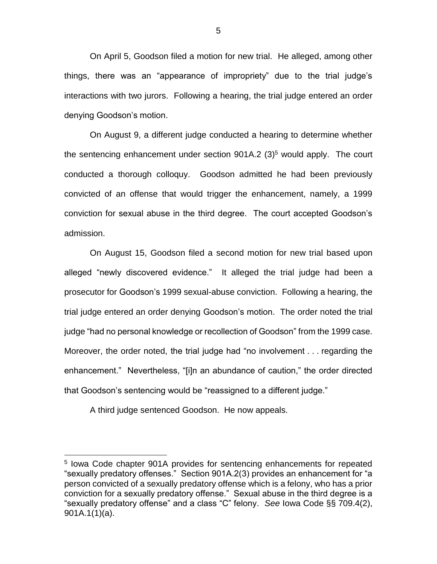On April 5, Goodson filed a motion for new trial. He alleged, among other things, there was an "appearance of impropriety" due to the trial judge's interactions with two jurors. Following a hearing, the trial judge entered an order denying Goodson's motion.

On August 9, a different judge conducted a hearing to determine whether the sentencing enhancement under section  $901A.2$  (3)<sup>5</sup> would apply. The court conducted a thorough colloquy. Goodson admitted he had been previously convicted of an offense that would trigger the enhancement, namely, a 1999 conviction for sexual abuse in the third degree. The court accepted Goodson's admission.

On August 15, Goodson filed a second motion for new trial based upon alleged "newly discovered evidence." It alleged the trial judge had been a prosecutor for Goodson's 1999 sexual-abuse conviction. Following a hearing, the trial judge entered an order denying Goodson's motion. The order noted the trial judge "had no personal knowledge or recollection of Goodson" from the 1999 case. Moreover, the order noted, the trial judge had "no involvement . . . regarding the enhancement." Nevertheless, "[i]n an abundance of caution," the order directed that Goodson's sentencing would be "reassigned to a different judge."

A third judge sentenced Goodson. He now appeals.

<sup>&</sup>lt;sup>5</sup> Iowa Code chapter 901A provides for sentencing enhancements for repeated "sexually predatory offenses." Section 901A.2(3) provides an enhancement for "a person convicted of a sexually predatory offense which is a felony, who has a prior conviction for a sexually predatory offense." Sexual abuse in the third degree is a "sexually predatory offense" and a class "C" felony. *See* Iowa Code §§ 709.4(2), 901A.1(1)(a).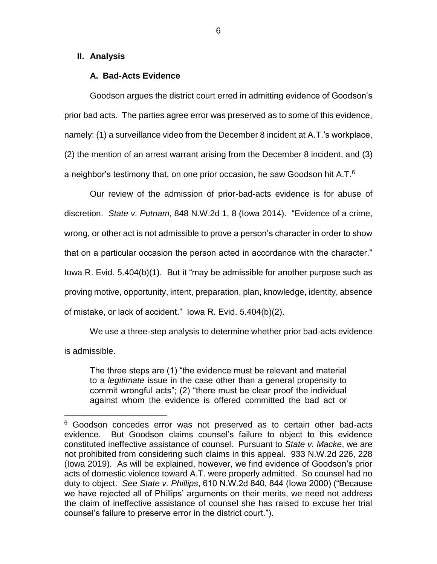## **II. Analysis**

 $\overline{a}$ 

## **A. Bad-Acts Evidence**

Goodson argues the district court erred in admitting evidence of Goodson's prior bad acts. The parties agree error was preserved as to some of this evidence, namely: (1) a surveillance video from the December 8 incident at A.T.'s workplace, (2) the mention of an arrest warrant arising from the December 8 incident, and (3) a neighbor's testimony that, on one prior occasion, he saw Goodson hit A.T.<sup>6</sup>

Our review of the admission of prior-bad-acts evidence is for abuse of discretion. *State v. Putnam*, 848 N.W.2d 1, 8 (Iowa 2014). "Evidence of a crime, wrong, or other act is not admissible to prove a person's character in order to show that on a particular occasion the person acted in accordance with the character." Iowa R. Evid. 5.404(b)(1). But it "may be admissible for another purpose such as proving motive, opportunity, intent, preparation, plan, knowledge, identity, absence of mistake, or lack of accident." Iowa R. Evid. 5.404(b)(2).

We use a three-step analysis to determine whether prior bad-acts evidence is admissible.

The three steps are (1) "the evidence must be relevant and material to a *legitimate* issue in the case other than a general propensity to commit wrongful acts"; (2) "there must be clear proof the individual against whom the evidence is offered committed the bad act or

<sup>6</sup> Goodson concedes error was not preserved as to certain other bad-acts evidence. But Goodson claims counsel's failure to object to this evidence constituted ineffective assistance of counsel. Pursuant to *State v. Macke*, we are not prohibited from considering such claims in this appeal. 933 N.W.2d 226, 228 (Iowa 2019). As will be explained, however, we find evidence of Goodson's prior acts of domestic violence toward A.T. were properly admitted. So counsel had no duty to object. *See State v. Phillips*, 610 N.W.2d 840, 844 (Iowa 2000) ("Because we have rejected all of Phillips' arguments on their merits, we need not address the claim of ineffective assistance of counsel she has raised to excuse her trial counsel's failure to preserve error in the district court.").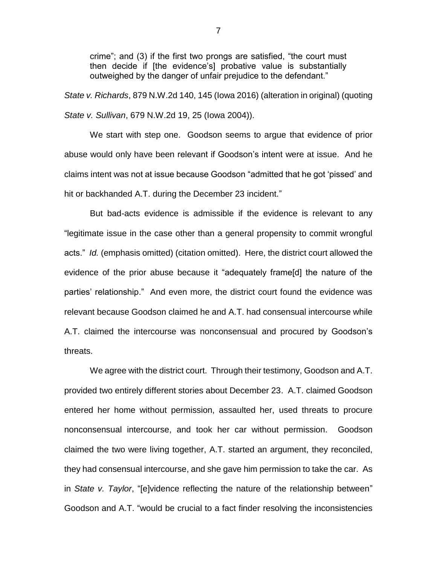crime"; and (3) if the first two prongs are satisfied, "the court must then decide if [the evidence's] probative value is substantially outweighed by the danger of unfair prejudice to the defendant."

*State v. Richards*, 879 N.W.2d 140, 145 (Iowa 2016) (alteration in original) (quoting *State v. Sullivan*, 679 N.W.2d 19, 25 (Iowa 2004)).

We start with step one. Goodson seems to argue that evidence of prior abuse would only have been relevant if Goodson's intent were at issue. And he claims intent was not at issue because Goodson "admitted that he got 'pissed' and hit or backhanded A.T. during the December 23 incident."

But bad-acts evidence is admissible if the evidence is relevant to any "legitimate issue in the case other than a general propensity to commit wrongful acts." *Id.* (emphasis omitted) (citation omitted). Here, the district court allowed the evidence of the prior abuse because it "adequately frame[d] the nature of the parties' relationship." And even more, the district court found the evidence was relevant because Goodson claimed he and A.T. had consensual intercourse while A.T. claimed the intercourse was nonconsensual and procured by Goodson's threats.

We agree with the district court. Through their testimony, Goodson and A.T. provided two entirely different stories about December 23. A.T. claimed Goodson entered her home without permission, assaulted her, used threats to procure nonconsensual intercourse, and took her car without permission. Goodson claimed the two were living together, A.T. started an argument, they reconciled, they had consensual intercourse, and she gave him permission to take the car. As in *State v. Taylor*, "[e]vidence reflecting the nature of the relationship between" Goodson and A.T. "would be crucial to a fact finder resolving the inconsistencies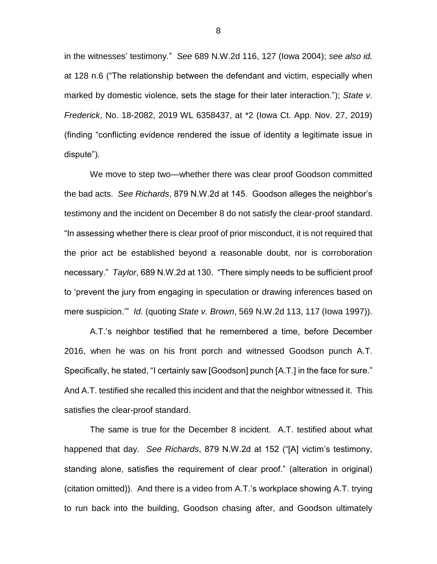in the witnesses' testimony." *See* 689 N.W.2d 116, 127 (Iowa 2004); *see also id.* at 128 n.6 ("The relationship between the defendant and victim, especially when marked by domestic violence, sets the stage for their later interaction."); *State v. Frederick*, No. 18-2082, 2019 WL 6358437, at \*2 (Iowa Ct. App. Nov. 27, 2019) (finding "conflicting evidence rendered the issue of identity a legitimate issue in dispute").

We move to step two—whether there was clear proof Goodson committed the bad acts. *See Richards*, 879 N.W.2d at 145. Goodson alleges the neighbor's testimony and the incident on December 8 do not satisfy the clear-proof standard. "In assessing whether there is clear proof of prior misconduct, it is not required that the prior act be established beyond a reasonable doubt, nor is corroboration necessary." *Taylor*, 689 N.W.2d at 130. "There simply needs to be sufficient proof to 'prevent the jury from engaging in speculation or drawing inferences based on mere suspicion.'" *Id.* (quoting *State v. Brown*, 569 N.W.2d 113, 117 (Iowa 1997)).

A.T.'s neighbor testified that he remembered a time, before December 2016, when he was on his front porch and witnessed Goodson punch A.T. Specifically, he stated, "I certainly saw [Goodson] punch [A.T.] in the face for sure." And A.T. testified she recalled this incident and that the neighbor witnessed it. This satisfies the clear-proof standard.

The same is true for the December 8 incident. A.T. testified about what happened that day. *See Richards*, 879 N.W.2d at 152 ("[A] victim's testimony, standing alone, satisfies the requirement of clear proof." (alteration in original) (citation omitted)). And there is a video from A.T.'s workplace showing A.T. trying to run back into the building, Goodson chasing after, and Goodson ultimately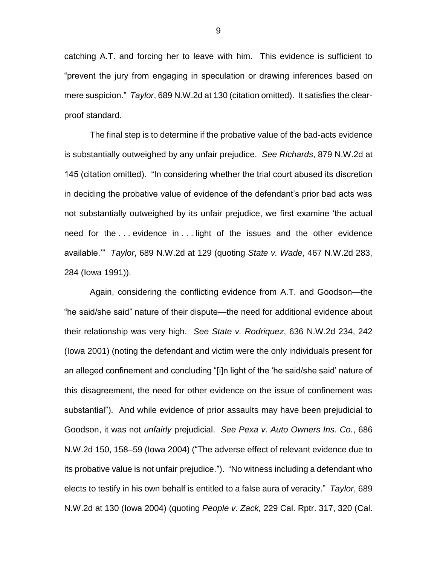catching A.T. and forcing her to leave with him. This evidence is sufficient to "prevent the jury from engaging in speculation or drawing inferences based on mere suspicion." *Taylor*, 689 N.W.2d at 130 (citation omitted). It satisfies the clearproof standard.

The final step is to determine if the probative value of the bad-acts evidence is substantially outweighed by any unfair prejudice. *See Richards*, 879 N.W.2d at 145 (citation omitted). "In considering whether the trial court abused its discretion in deciding the probative value of evidence of the defendant's prior bad acts was not substantially outweighed by its unfair prejudice, we first examine 'the actual need for the . . . evidence in . . . light of the issues and the other evidence available.'" *Taylor*, 689 N.W.2d at 129 (quoting *State v. Wade*, 467 N.W.2d 283, 284 (Iowa 1991)).

Again, considering the conflicting evidence from A.T. and Goodson—the "he said/she said" nature of their dispute—the need for additional evidence about their relationship was very high. *See State v. Rodriquez*, 636 N.W.2d 234, 242 (Iowa 2001) (noting the defendant and victim were the only individuals present for an alleged confinement and concluding "[i]n light of the 'he said/she said' nature of this disagreement, the need for other evidence on the issue of confinement was substantial"). And while evidence of prior assaults may have been prejudicial to Goodson, it was not *unfairly* prejudicial. *See Pexa v. Auto Owners Ins. Co.*, 686 N.W.2d 150, 158–59 (Iowa 2004) ("The adverse effect of relevant evidence due to its probative value is not unfair prejudice."). "No witness including a defendant who elects to testify in his own behalf is entitled to a false aura of veracity." *Taylor*, 689 N.W.2d at 130 (Iowa 2004) (quoting *People v. Zack,* 229 Cal. Rptr. 317, 320 (Cal.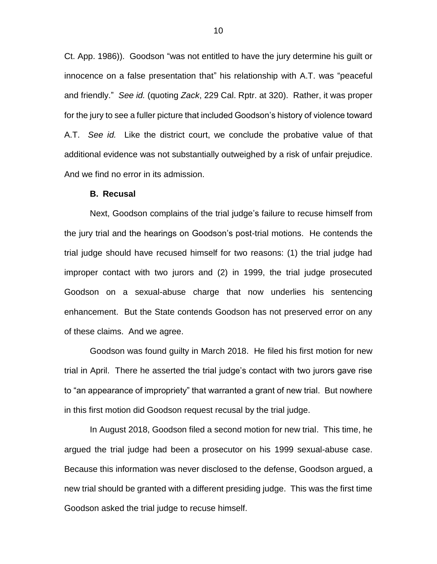Ct. App. 1986)). Goodson "was not entitled to have the jury determine his guilt or innocence on a false presentation that" his relationship with A.T. was "peaceful and friendly." *See id.* (quoting *Zack*, 229 Cal. Rptr. at 320). Rather, it was proper for the jury to see a fuller picture that included Goodson's history of violence toward A.T. *See id.* Like the district court, we conclude the probative value of that additional evidence was not substantially outweighed by a risk of unfair prejudice. And we find no error in its admission.

#### **B. Recusal**

Next, Goodson complains of the trial judge's failure to recuse himself from the jury trial and the hearings on Goodson's post-trial motions. He contends the trial judge should have recused himself for two reasons: (1) the trial judge had improper contact with two jurors and (2) in 1999, the trial judge prosecuted Goodson on a sexual-abuse charge that now underlies his sentencing enhancement. But the State contends Goodson has not preserved error on any of these claims. And we agree.

Goodson was found guilty in March 2018. He filed his first motion for new trial in April. There he asserted the trial judge's contact with two jurors gave rise to "an appearance of impropriety" that warranted a grant of new trial. But nowhere in this first motion did Goodson request recusal by the trial judge.

In August 2018, Goodson filed a second motion for new trial. This time, he argued the trial judge had been a prosecutor on his 1999 sexual-abuse case. Because this information was never disclosed to the defense, Goodson argued, a new trial should be granted with a different presiding judge. This was the first time Goodson asked the trial judge to recuse himself.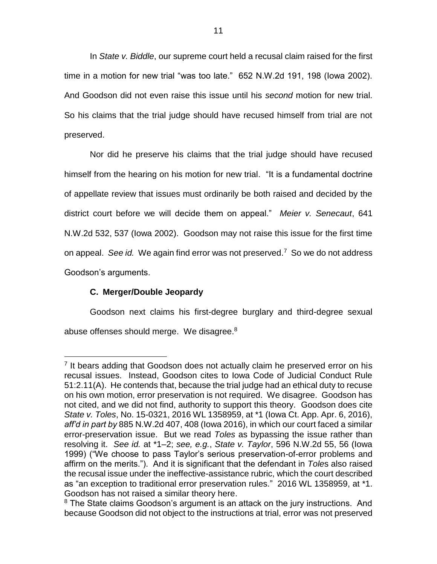In *State v. Biddle*, our supreme court held a recusal claim raised for the first time in a motion for new trial "was too late." 652 N.W.2d 191, 198 (Iowa 2002). And Goodson did not even raise this issue until his *second* motion for new trial. So his claims that the trial judge should have recused himself from trial are not preserved.

Nor did he preserve his claims that the trial judge should have recused himself from the hearing on his motion for new trial. "It is a fundamental doctrine of appellate review that issues must ordinarily be both raised and decided by the district court before we will decide them on appeal." *Meier v. Senecaut*, 641 N.W.2d 532, 537 (Iowa 2002). Goodson may not raise this issue for the first time on appeal. *See id.* We again find error was not preserved. <sup>7</sup> So we do not address Goodson's arguments.

# **C. Merger/Double Jeopardy**

 $\overline{a}$ 

Goodson next claims his first-degree burglary and third-degree sexual abuse offenses should merge. We disagree.<sup>8</sup>

<sup>&</sup>lt;sup>7</sup> It bears adding that Goodson does not actually claim he preserved error on his recusal issues. Instead, Goodson cites to Iowa Code of Judicial Conduct Rule 51:2.11(A). He contends that, because the trial judge had an ethical duty to recuse on his own motion, error preservation is not required. We disagree. Goodson has not cited, and we did not find, authority to support this theory. Goodson does cite *State v. Toles*, No. 15-0321, 2016 WL 1358959, at \*1 (Iowa Ct. App. Apr. 6, 2016), *aff'd in part by* 885 N.W.2d 407, 408 (Iowa 2016), in which our court faced a similar error-preservation issue. But we read *Toles* as bypassing the issue rather than resolving it. *See id.* at \*1–2; *see, e.g.*, *State v. Taylor*, 596 N.W.2d 55, 56 (Iowa 1999) ("We choose to pass Taylor's serious preservation-of-error problems and affirm on the merits."). And it is significant that the defendant in *Tole*s also raised the recusal issue under the ineffective-assistance rubric, which the court described as "an exception to traditional error preservation rules." 2016 WL 1358959, at \*1. Goodson has not raised a similar theory here.

 $8$  The State claims Goodson's argument is an attack on the jury instructions. And because Goodson did not object to the instructions at trial, error was not preserved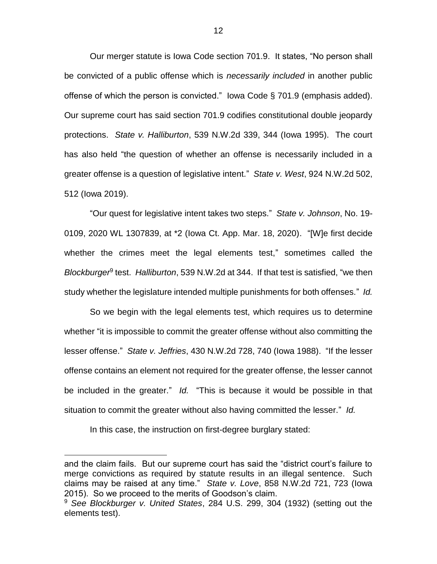Our merger statute is Iowa Code section 701.9. It states, "No person shall be convicted of a public offense which is *necessarily included* in another public offense of which the person is convicted." Iowa Code § 701.9 (emphasis added). Our supreme court has said section 701.9 codifies constitutional double jeopardy protections. *State v. Halliburton*, 539 N.W.2d 339, 344 (Iowa 1995). The court has also held "the question of whether an offense is necessarily included in a greater offense is a question of legislative intent." *State v. West*, 924 N.W.2d 502, 512 (Iowa 2019).

"Our quest for legislative intent takes two steps." *State v. Johnson*, No. 19- 0109, 2020 WL 1307839, at \*2 (Iowa Ct. App. Mar. 18, 2020). "[W]e first decide whether the crimes meet the legal elements test," sometimes called the *Blockburger*<sup>9</sup> test. *Halliburton*, 539 N.W.2d at 344. If that test is satisfied, "we then study whether the legislature intended multiple punishments for both offenses." *Id.*

So we begin with the legal elements test, which requires us to determine whether "it is impossible to commit the greater offense without also committing the lesser offense." *State v. Jeffries*, 430 N.W.2d 728, 740 (Iowa 1988). "If the lesser offense contains an element not required for the greater offense, the lesser cannot be included in the greater." *Id.* "This is because it would be possible in that situation to commit the greater without also having committed the lesser." *Id.*

In this case, the instruction on first-degree burglary stated:

and the claim fails. But our supreme court has said the "district court's failure to merge convictions as required by statute results in an illegal sentence. Such claims may be raised at any time." *State v. Love*, 858 N.W.2d 721, 723 (Iowa 2015). So we proceed to the merits of Goodson's claim.

<sup>9</sup> *See Blockburger v. United States*, 284 U.S. 299, 304 (1932) (setting out the elements test).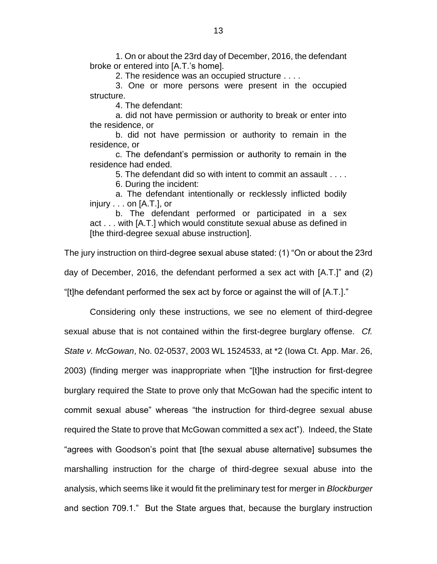1. On or about the 23rd day of December, 2016, the defendant broke or entered into [A.T.'s home].

2. The residence was an occupied structure . . . .

3. One or more persons were present in the occupied structure.

4. The defendant:

a. did not have permission or authority to break or enter into the residence, or

b. did not have permission or authority to remain in the residence, or

c. The defendant's permission or authority to remain in the residence had ended.

5. The defendant did so with intent to commit an assault . . . .

6. During the incident:

a. The defendant intentionally or recklessly inflicted bodily injury . . . on [A.T.], or

b. The defendant performed or participated in a sex act . . . with [A.T.] which would constitute sexual abuse as defined in [the third-degree sexual abuse instruction].

The jury instruction on third-degree sexual abuse stated: (1) "On or about the 23rd day of December, 2016, the defendant performed a sex act with [A.T.]" and (2) "[t]he defendant performed the sex act by force or against the will of [A.T.]."

Considering only these instructions, we see no element of third-degree sexual abuse that is not contained within the first-degree burglary offense. *Cf. State v. McGowan*, No. 02-0537, 2003 WL 1524533, at \*2 (Iowa Ct. App. Mar. 26, 2003) (finding merger was inappropriate when "[t]he instruction for first-degree burglary required the State to prove only that McGowan had the specific intent to commit sexual abuse" whereas "the instruction for third-degree sexual abuse required the State to prove that McGowan committed a sex act"). Indeed, the State "agrees with Goodson's point that [the sexual abuse alternative] subsumes the marshalling instruction for the charge of third-degree sexual abuse into the analysis, which seems like it would fit the preliminary test for merger in *Blockburger* and section 709.1." But the State argues that, because the burglary instruction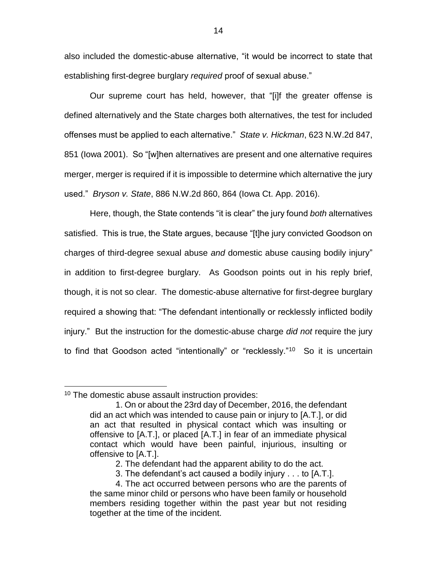also included the domestic-abuse alternative, "it would be incorrect to state that establishing first-degree burglary *required* proof of sexual abuse."

Our supreme court has held, however, that "[i]f the greater offense is defined alternatively and the State charges both alternatives, the test for included offenses must be applied to each alternative." *State v. Hickman*, 623 N.W.2d 847, 851 (Iowa 2001). So "[w]hen alternatives are present and one alternative requires merger, merger is required if it is impossible to determine which alternative the jury used." *Bryson v. State*, 886 N.W.2d 860, 864 (Iowa Ct. App. 2016).

Here, though, the State contends "it is clear" the jury found *both* alternatives satisfied. This is true, the State argues, because "[t]he jury convicted Goodson on charges of third-degree sexual abuse *and* domestic abuse causing bodily injury" in addition to first-degree burglary. As Goodson points out in his reply brief, though, it is not so clear. The domestic-abuse alternative for first-degree burglary required a showing that: "The defendant intentionally or recklessly inflicted bodily injury." But the instruction for the domestic-abuse charge *did not* require the jury to find that Goodson acted "intentionally" or "recklessly."<sup>10</sup> So it is uncertain

<sup>&</sup>lt;sup>10</sup> The domestic abuse assault instruction provides:

<sup>1.</sup> On or about the 23rd day of December, 2016, the defendant did an act which was intended to cause pain or injury to [A.T.], or did an act that resulted in physical contact which was insulting or offensive to [A.T.], or placed [A.T.] in fear of an immediate physical contact which would have been painful, injurious, insulting or offensive to [A.T.].

<sup>2.</sup> The defendant had the apparent ability to do the act.

<sup>3.</sup> The defendant's act caused a bodily injury . . . to [A.T.].

<sup>4.</sup> The act occurred between persons who are the parents of the same minor child or persons who have been family or household members residing together within the past year but not residing together at the time of the incident.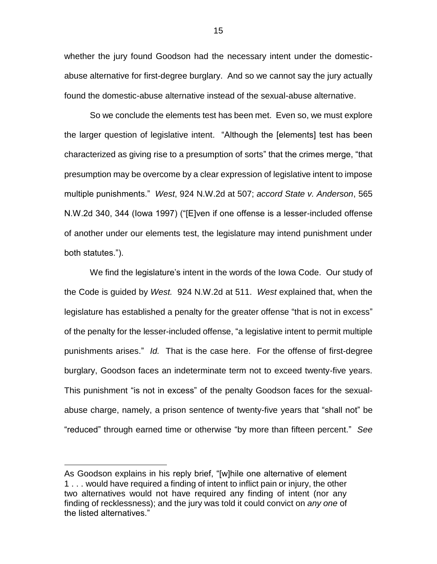whether the jury found Goodson had the necessary intent under the domesticabuse alternative for first-degree burglary. And so we cannot say the jury actually found the domestic-abuse alternative instead of the sexual-abuse alternative.

So we conclude the elements test has been met. Even so, we must explore the larger question of legislative intent. "Although the [elements] test has been characterized as giving rise to a presumption of sorts" that the crimes merge, "that presumption may be overcome by a clear expression of legislative intent to impose multiple punishments." *West*, 924 N.W.2d at 507; *accord State v. Anderson*, 565 N.W.2d 340, 344 (Iowa 1997) ("[E]ven if one offense is a lesser-included offense of another under our elements test, the legislature may intend punishment under both statutes.").

We find the legislature's intent in the words of the Iowa Code. Our study of the Code is guided by *West.* 924 N.W.2d at 511. *West* explained that, when the legislature has established a penalty for the greater offense "that is not in excess" of the penalty for the lesser-included offense, "a legislative intent to permit multiple punishments arises." *Id.* That is the case here. For the offense of first-degree burglary, Goodson faces an indeterminate term not to exceed twenty-five years. This punishment "is not in excess" of the penalty Goodson faces for the sexualabuse charge, namely, a prison sentence of twenty-five years that "shall not" be "reduced" through earned time or otherwise "by more than fifteen percent." *See* 

As Goodson explains in his reply brief, "[w]hile one alternative of element 1 . . . would have required a finding of intent to inflict pain or injury, the other two alternatives would not have required any finding of intent (nor any finding of recklessness); and the jury was told it could convict on *any one* of the listed alternatives."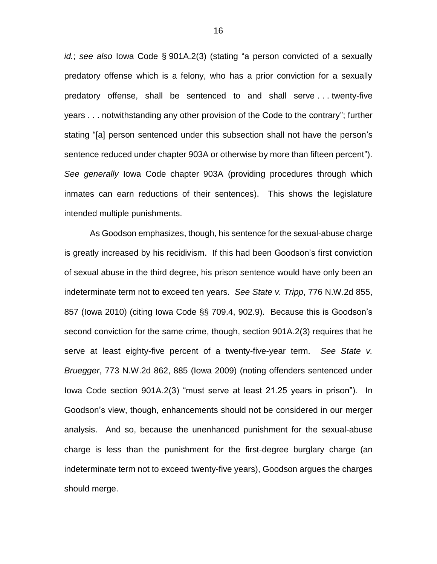*id.*; *see also* Iowa Code § 901A.2(3) (stating "a person convicted of a sexually predatory offense which is a felony, who has a prior conviction for a sexually predatory offense, shall be sentenced to and shall serve . . . twenty-five years . . . notwithstanding any other provision of the Code to the contrary"; further stating "[a] person sentenced under this subsection shall not have the person's sentence reduced under chapter 903A or otherwise by more than fifteen percent"). *See generally* Iowa Code chapter 903A (providing procedures through which inmates can earn reductions of their sentences). This shows the legislature intended multiple punishments.

As Goodson emphasizes, though, his sentence for the sexual-abuse charge is greatly increased by his recidivism. If this had been Goodson's first conviction of sexual abuse in the third degree, his prison sentence would have only been an indeterminate term not to exceed ten years. *See State v. Tripp*, 776 N.W.2d 855, 857 (Iowa 2010) (citing Iowa Code §§ 709.4, 902.9). Because this is Goodson's second conviction for the same crime, though, section 901A.2(3) requires that he serve at least eighty-five percent of a twenty-five-year term. *See State v. Bruegger*, 773 N.W.2d 862, 885 (Iowa 2009) (noting offenders sentenced under Iowa Code section 901A.2(3) "must serve at least 21.25 years in prison"). In Goodson's view, though, enhancements should not be considered in our merger analysis. And so, because the unenhanced punishment for the sexual-abuse charge is less than the punishment for the first-degree burglary charge (an indeterminate term not to exceed twenty-five years), Goodson argues the charges should merge.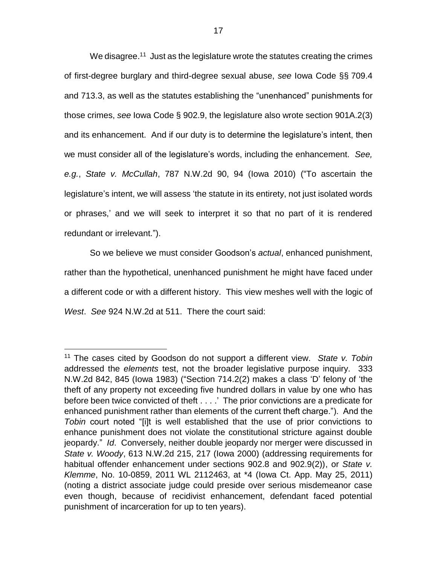We disagree.<sup>11</sup> Just as the legislature wrote the statutes creating the crimes of first-degree burglary and third-degree sexual abuse, *see* Iowa Code §§ 709.4 and 713.3, as well as the statutes establishing the "unenhanced" punishments for those crimes, *see* Iowa Code § 902.9, the legislature also wrote section 901A.2(3) and its enhancement. And if our duty is to determine the legislature's intent, then we must consider all of the legislature's words, including the enhancement. *See, e.g.*, *State v. McCullah*, 787 N.W.2d 90, 94 (Iowa 2010) ("To ascertain the legislature's intent, we will assess 'the statute in its entirety, not just isolated words or phrases,' and we will seek to interpret it so that no part of it is rendered redundant or irrelevant.").

So we believe we must consider Goodson's *actual*, enhanced punishment, rather than the hypothetical, unenhanced punishment he might have faced under a different code or with a different history. This view meshes well with the logic of *West*. *See* 924 N.W.2d at 511. There the court said:

<sup>11</sup> The cases cited by Goodson do not support a different view. *State v. Tobin* addressed the *elements* test, not the broader legislative purpose inquiry. 333 N.W.2d 842, 845 (Iowa 1983) ("Section 714.2(2) makes a class 'D' felony of 'the theft of any property not exceeding five hundred dollars in value by one who has before been twice convicted of theft . . . .' The prior convictions are a predicate for enhanced punishment rather than elements of the current theft charge."). And the *Tobin* court noted "[i]t is well established that the use of prior convictions to enhance punishment does not violate the constitutional stricture against double jeopardy." *Id*. Conversely, neither double jeopardy nor merger were discussed in *State v. Woody*, 613 N.W.2d 215, 217 (Iowa 2000) (addressing requirements for habitual offender enhancement under sections 902.8 and 902.9(2)), or *State v. Klemme*, No. 10-0859, 2011 WL 2112463, at \*4 (Iowa Ct. App. May 25, 2011) (noting a district associate judge could preside over serious misdemeanor case even though, because of recidivist enhancement, defendant faced potential punishment of incarceration for up to ten years).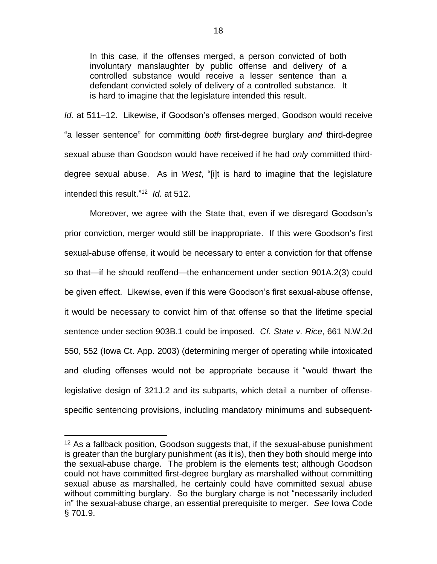In this case, if the offenses merged, a person convicted of both involuntary manslaughter by public offense and delivery of a controlled substance would receive a lesser sentence than a defendant convicted solely of delivery of a controlled substance. It is hard to imagine that the legislature intended this result.

*Id.* at 511–12. Likewise, if Goodson's offenses merged, Goodson would receive "a lesser sentence" for committing *both* first-degree burglary *and* third-degree sexual abuse than Goodson would have received if he had *only* committed thirddegree sexual abuse. As in *West*, "[i]t is hard to imagine that the legislature intended this result." 12 *Id.* at 512.

Moreover, we agree with the State that, even if we disregard Goodson's prior conviction, merger would still be inappropriate. If this were Goodson's first sexual-abuse offense, it would be necessary to enter a conviction for that offense so that—if he should reoffend—the enhancement under section 901A.2(3) could be given effect. Likewise, even if this were Goodson's first sexual-abuse offense, it would be necessary to convict him of that offense so that the lifetime special sentence under section 903B.1 could be imposed. *Cf. State v. Rice*, 661 N.W.2d 550, 552 (Iowa Ct. App. 2003) (determining merger of operating while intoxicated and eluding offenses would not be appropriate because it "would thwart the legislative design of 321J.2 and its subparts, which detail a number of offensespecific sentencing provisions, including mandatory minimums and subsequent-

 $12$  As a fallback position, Goodson suggests that, if the sexual-abuse punishment is greater than the burglary punishment (as it is), then they both should merge into the sexual-abuse charge. The problem is the elements test; although Goodson could not have committed first-degree burglary as marshalled without committing sexual abuse as marshalled, he certainly could have committed sexual abuse without committing burglary. So the burglary charge is not "necessarily included in" the sexual-abuse charge, an essential prerequisite to merger. *See* Iowa Code § 701.9.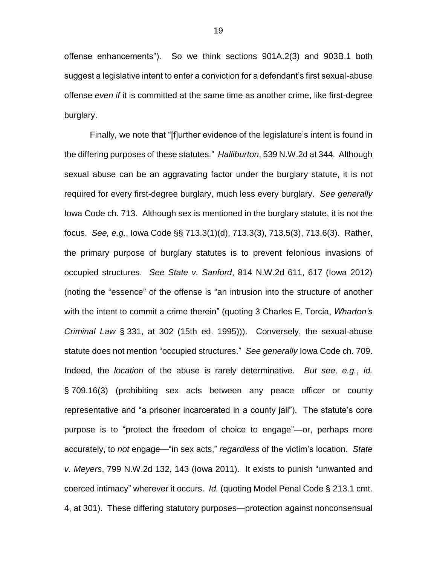offense enhancements"). So we think sections 901A.2(3) and 903B.1 both suggest a legislative intent to enter a conviction for a defendant's first sexual-abuse offense *even if* it is committed at the same time as another crime, like first-degree burglary.

Finally, we note that "[f]urther evidence of the legislature's intent is found in the differing purposes of these statutes." *Halliburton*, 539 N.W.2d at 344. Although sexual abuse can be an aggravating factor under the burglary statute, it is not required for every first-degree burglary, much less every burglary. *See generally* Iowa Code ch. 713. Although sex is mentioned in the burglary statute, it is not the focus. *See, e.g.*, Iowa Code §§ 713.3(1)(d), 713.3(3), 713.5(3), 713.6(3). Rather, the primary purpose of burglary statutes is to prevent felonious invasions of occupied structures. *See State v. Sanford*, 814 N.W.2d 611, 617 (Iowa 2012) (noting the "essence" of the offense is "an intrusion into the structure of another with the intent to commit a crime therein" (quoting 3 Charles E. Torcia, *Wharton's Criminal Law* § 331, at 302 (15th ed. 1995))). Conversely, the sexual-abuse statute does not mention "occupied structures." *See generally* Iowa Code ch. 709. Indeed, the *location* of the abuse is rarely determinative. *But see, e.g.*, *id.* § 709.16(3) (prohibiting sex acts between any peace officer or county representative and "a prisoner incarcerated in a county jail"). The statute's core purpose is to "protect the freedom of choice to engage"—or, perhaps more accurately, to *not* engage—"in sex acts," *regardless* of the victim's location. *State v. Meyers*, 799 N.W.2d 132, 143 (Iowa 2011). It exists to punish "unwanted and coerced intimacy" wherever it occurs. *Id.* (quoting Model Penal Code § 213.1 cmt. 4, at 301). These differing statutory purposes—protection against nonconsensual